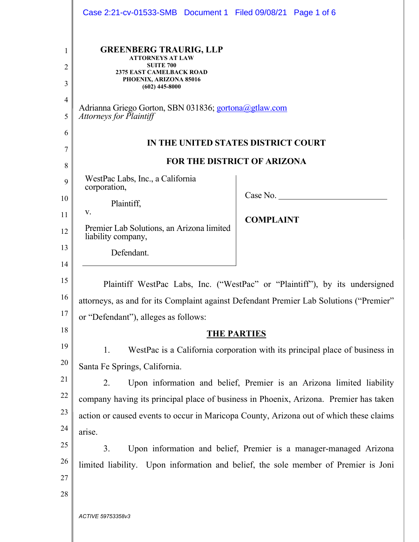| <b>GREENBERG TRAURIG, LLP</b><br>$\mathbf{1}$<br><b>ATTORNEYS AT LAW</b><br><b>SUITE 700</b><br>2<br><b>2375 EAST CAMELBACK ROAD</b><br>PHOENIX, ARIZONA 85016<br>3<br>$(602)$ 445-8000<br>$\overline{4}$<br>Adrianna Griego Gorton, SBN 031836; gortona@gtlaw.com<br><b>Attorneys for Plaintiff</b><br>5<br>6                                                                                                                                                                                                                                                                                                             |                                      |
|----------------------------------------------------------------------------------------------------------------------------------------------------------------------------------------------------------------------------------------------------------------------------------------------------------------------------------------------------------------------------------------------------------------------------------------------------------------------------------------------------------------------------------------------------------------------------------------------------------------------------|--------------------------------------|
| IN THE UNITED STATES DISTRICT COURT<br>7                                                                                                                                                                                                                                                                                                                                                                                                                                                                                                                                                                                   |                                      |
| <b>FOR THE DISTRICT OF ARIZONA</b><br>8                                                                                                                                                                                                                                                                                                                                                                                                                                                                                                                                                                                    |                                      |
| WestPac Labs, Inc., a California<br>corporation,<br>Plaintiff,<br>V.<br>Premier Lab Solutions, an Arizona limited<br>liability company,<br>Defendant.                                                                                                                                                                                                                                                                                                                                                                                                                                                                      | Case No.<br><b>COMPLAINT</b>         |
| 14<br>15<br>Plaintiff WestPac Labs, Inc. ("WestPac" or "Plaintiff"), by its undersigned<br>16<br>attorneys, as and for its Complaint against Defendant Premier Lab Solutions ("Premier"<br>17                                                                                                                                                                                                                                                                                                                                                                                                                              |                                      |
| 18<br><b>THE PARTIES</b>                                                                                                                                                                                                                                                                                                                                                                                                                                                                                                                                                                                                   |                                      |
| 19<br>WestPac is a California corporation with its principal place of business in<br>1.<br>20<br>Santa Fe Springs, California.<br>21<br>Upon information and belief, Premier is an Arizona limited liability<br>2.<br>22<br>company having its principal place of business in Phoenix, Arizona. Premier has taken<br>23<br>action or caused events to occur in Maricopa County, Arizona out of which these claims<br>24<br>arise.<br>25<br>Upon information and belief, Premier is a manager-managed Arizona<br>3.<br>26<br>limited liability. Upon information and belief, the sole member of Premier is Joni<br>27<br>28 |                                      |
|                                                                                                                                                                                                                                                                                                                                                                                                                                                                                                                                                                                                                            | or "Defendant"), alleges as follows: |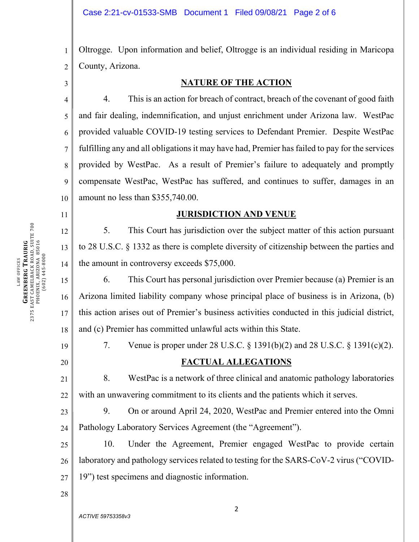1 2 Oltrogge. Upon information and belief, Oltrogge is an individual residing in Maricopa County, Arizona.

3

6

7

9

11

12

13

14

19

20

21

22

28

## **NATURE OF THE ACTION**

4 5 8 10 4. This is an action for breach of contract, breach of the covenant of good faith and fair dealing, indemnification, and unjust enrichment under Arizona law. WestPac provided valuable COVID-19 testing services to Defendant Premier. Despite WestPac fulfilling any and all obligations it may have had, Premier has failed to pay for the services provided by WestPac. As a result of Premier's failure to adequately and promptly compensate WestPac, WestPac has suffered, and continues to suffer, damages in an amount no less than \$355,740.00.

### **JURISDICTION AND VENUE**

5. This Court has jurisdiction over the subject matter of this action pursuant to 28 U.S.C. § 1332 as there is complete diversity of citizenship between the parties and the amount in controversy exceeds \$75,000.

15 16 17 18 6. This Court has personal jurisdiction over Premier because (a) Premier is an Arizona limited liability company whose principal place of business is in Arizona, (b) this action arises out of Premier's business activities conducted in this judicial district, and (c) Premier has committed unlawful acts within this State.

7. Venue is proper under 28 U.S.C. § 1391(b)(2) and 28 U.S.C. § 1391(c)(2).

# **FACTUAL ALLEGATIONS**

8. WestPac is a network of three clinical and anatomic pathology laboratories with an unwavering commitment to its clients and the patients which it serves.

23 24 9. On or around April 24, 2020, WestPac and Premier entered into the Omni Pathology Laboratory Services Agreement (the "Agreement").

25 26 27 10. Under the Agreement, Premier engaged WestPac to provide certain laboratory and pathology services related to testing for the SARS-CoV-2 virus ("COVID-19") test specimens and diagnostic information.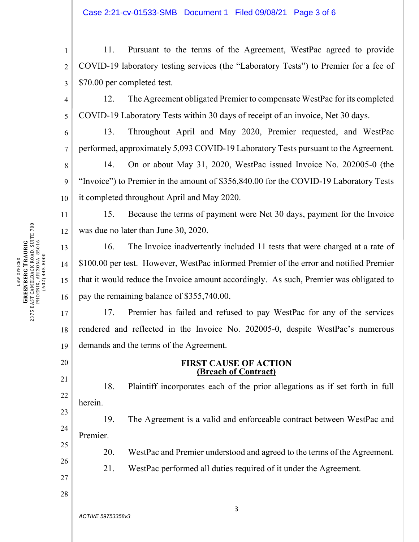1 2 3 11. Pursuant to the terms of the Agreement, WestPac agreed to provide COVID-19 laboratory testing services (the "Laboratory Tests") to Premier for a fee of \$70.00 per completed test.

12. The Agreement obligated Premier to compensate WestPac for its completed COVID-19 Laboratory Tests within 30 days of receipt of an invoice, Net 30 days.

6 13. Throughout April and May 2020, Premier requested, and WestPac performed, approximately 5,093 COVID-19 Laboratory Tests pursuant to the Agreement.

8 9 10 14. On or about May 31, 2020, WestPac issued Invoice No. 202005-0 (the "Invoice") to Premier in the amount of \$356,840.00 for the COVID-19 Laboratory Tests it completed throughout April and May 2020.

15. Because the terms of payment were Net 30 days, payment for the Invoice was due no later than June 30, 2020.

16. The Invoice inadvertently included 11 tests that were charged at a rate of \$100.00 per test. However, WestPac informed Premier of the error and notified Premier that it would reduce the Invoice amount accordingly. As such, Premier was obligated to pay the remaining balance of \$355,740.00.

17 18 19 17. Premier has failed and refused to pay WestPac for any of the services rendered and reflected in the Invoice No. 202005-0, despite WestPac's numerous demands and the terms of the Agreement.

## **FIRST CAUSE OF ACTION (Breach of Contract)**

22 18. Plaintiff incorporates each of the prior allegations as if set forth in full herein.

23 24 19. The Agreement is a valid and enforceable contract between WestPac and Premier.

20. WestPac and Premier understood and agreed to the terms of the Agreement.

- 21. WestPac performed all duties required of it under the Agreement.
- 28

25

26

27

4

5

7

11

12

13

14

15

16

20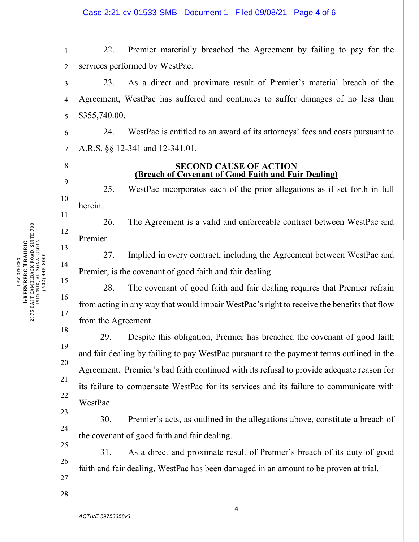1 2 22. Premier materially breached the Agreement by failing to pay for the services performed by WestPac.

3 4 5 23. As a direct and proximate result of Premier's material breach of the Agreement, WestPac has suffered and continues to suffer damages of no less than \$355,740.00.

24. WestPac is entitled to an award of its attorneys' fees and costs pursuant to A.R.S. §§ 12-341 and 12-341.01.

# **SECOND CAUSE OF ACTION (Breach of Covenant of Good Faith and Fair Dealing)**

25. WestPac incorporates each of the prior allegations as if set forth in full herein.

26. The Agreement is a valid and enforceable contract between WestPac and Premier.

27. Implied in every contract, including the Agreement between WestPac and Premier, is the covenant of good faith and fair dealing.

28. The covenant of good faith and fair dealing requires that Premier refrain from acting in any way that would impair WestPac's right to receive the benefits that flow from the Agreement.

18 19 20 21 22 29. Despite this obligation, Premier has breached the covenant of good faith and fair dealing by failing to pay WestPac pursuant to the payment terms outlined in the Agreement. Premier's bad faith continued with its refusal to provide adequate reason for its failure to compensate WestPac for its services and its failure to communicate with WestPac.

23 24 30. Premier's acts, as outlined in the allegations above, constitute a breach of the covenant of good faith and fair dealing.

31. As a direct and proximate result of Premier's breach of its duty of good faith and fair dealing, WestPac has been damaged in an amount to be proven at trial.

6

7

8

9

10

11

12

13

14

15

16

17

25

26

27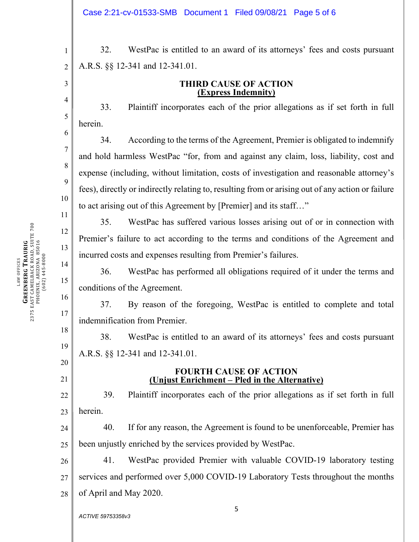32. WestPac is entitled to an award of its attorneys' fees and costs pursuant A.R.S. §§ 12-341 and 12-341.01.

### **THIRD CAUSE OF ACTION (Express Indemnity)**

33. Plaintiff incorporates each of the prior allegations as if set forth in full herein.

34. According to the terms of the Agreement, Premier is obligated to indemnify and hold harmless WestPac "for, from and against any claim, loss, liability, cost and expense (including, without limitation, costs of investigation and reasonable attorney's fees), directly or indirectly relating to, resulting from or arising out of any action or failure to act arising out of this Agreement by [Premier] and its staff…"

35. WestPac has suffered various losses arising out of or in connection with Premier's failure to act according to the terms and conditions of the Agreement and incurred costs and expenses resulting from Premier's failures.

36. WestPac has performed all obligations required of it under the terms and conditions of the Agreement.

37. By reason of the foregoing, WestPac is entitled to complete and total indemnification from Premier.

18 19 38. WestPac is entitled to an award of its attorneys' fees and costs pursuant A.R.S. §§ 12-341 and 12-341.01.

# **FOURTH CAUSE OF ACTION (Unjust Enrichment – Pled in the Alternative)**

39. Plaintiff incorporates each of the prior allegations as if set forth in full herein.

24 25 40. If for any reason, the Agreement is found to be unenforceable, Premier has been unjustly enriched by the services provided by WestPac.

26 27 28 41. WestPac provided Premier with valuable COVID-19 laboratory testing services and performed over 5,000 COVID-19 Laboratory Tests throughout the months of April and May 2020.

1

2

3

4

5

6

7

8

9

10

11

12

13

14

15

16

17

20

21

22